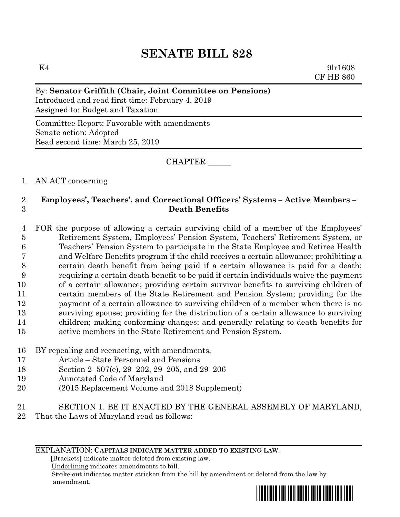# **SENATE BILL 828**

 $K4$  9lr1608 CF HB 860

# By: **Senator Griffith (Chair, Joint Committee on Pensions)**

Introduced and read first time: February 4, 2019 Assigned to: Budget and Taxation

Committee Report: Favorable with amendments Senate action: Adopted Read second time: March 25, 2019

CHAPTER \_\_\_\_\_\_

# 1 AN ACT concerning

# 2 **Employees', Teachers', and Correctional Officers' Systems – Active Members –** 3 **Death Benefits**

 FOR the purpose of allowing a certain surviving child of a member of the Employees' Retirement System, Employees' Pension System, Teachers' Retirement System, or Teachers' Pension System to participate in the State Employee and Retiree Health and Welfare Benefits program if the child receives a certain allowance; prohibiting a certain death benefit from being paid if a certain allowance is paid for a death; requiring a certain death benefit to be paid if certain individuals waive the payment of a certain allowance; providing certain survivor benefits to surviving children of certain members of the State Retirement and Pension System; providing for the payment of a certain allowance to surviving children of a member when there is no surviving spouse; providing for the distribution of a certain allowance to surviving children; making conforming changes; and generally relating to death benefits for active members in the State Retirement and Pension System.

- 16 BY repealing and reenacting, with amendments,
- 17 Article State Personnel and Pensions
- 18 Section 2–507(e), 29–202, 29–205, and 29–206
- 19 Annotated Code of Maryland
- 20 (2015 Replacement Volume and 2018 Supplement)
- 21 SECTION 1. BE IT ENACTED BY THE GENERAL ASSEMBLY OF MARYLAND,
- 22 That the Laws of Maryland read as follows:

## EXPLANATION: **CAPITALS INDICATE MATTER ADDED TO EXISTING LAW**.

 **[**Brackets**]** indicate matter deleted from existing law.

Underlining indicates amendments to bill.

 Strike out indicates matter stricken from the bill by amendment or deleted from the law by amendment.

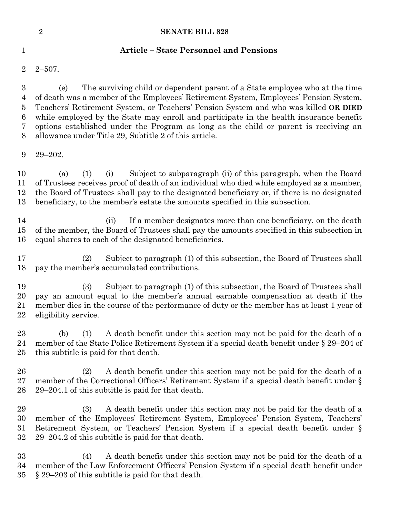|                                                                                 | $\sqrt{2}$                  | <b>SENATE BILL 828</b>                                                                                                                                                                                                                                                                                                                                                                                                                                                                                 |
|---------------------------------------------------------------------------------|-----------------------------|--------------------------------------------------------------------------------------------------------------------------------------------------------------------------------------------------------------------------------------------------------------------------------------------------------------------------------------------------------------------------------------------------------------------------------------------------------------------------------------------------------|
| $\mathbf 1$                                                                     |                             | <b>Article - State Personnel and Pensions</b>                                                                                                                                                                                                                                                                                                                                                                                                                                                          |
| $\overline{2}$                                                                  | $2 - 507$ .                 |                                                                                                                                                                                                                                                                                                                                                                                                                                                                                                        |
| $\boldsymbol{3}$<br>$\overline{4}$<br>$\bf 5$<br>$\boldsymbol{6}$<br>7<br>$8\,$ | (e)                         | The surviving child or dependent parent of a State employee who at the time<br>of death was a member of the Employees' Retirement System, Employees' Pension System,<br>Teachers' Retirement System, or Teachers' Pension System and who was killed OR DIED<br>while employed by the State may enroll and participate in the health insurance benefit<br>options established under the Program as long as the child or parent is receiving an<br>allowance under Title 29, Subtitle 2 of this article. |
| 9                                                                               | $29 - 202$ .                |                                                                                                                                                                                                                                                                                                                                                                                                                                                                                                        |
| 10<br>11<br>12<br>13                                                            | (1)<br>(a)                  | Subject to subparagraph (ii) of this paragraph, when the Board<br>(i)<br>of Trustees receives proof of death of an individual who died while employed as a member,<br>the Board of Trustees shall pay to the designated beneficiary or, if there is no designated<br>beneficiary, to the member's estate the amounts specified in this subsection.                                                                                                                                                     |
| 14<br>15<br>16                                                                  |                             | If a member designates more than one beneficiary, on the death<br>(ii)<br>of the member, the Board of Trustees shall pay the amounts specified in this subsection in<br>equal shares to each of the designated beneficiaries.                                                                                                                                                                                                                                                                          |
| 17<br>18                                                                        | (2)                         | Subject to paragraph (1) of this subsection, the Board of Trustees shall<br>pay the member's accumulated contributions.                                                                                                                                                                                                                                                                                                                                                                                |
| 19<br>20<br>21<br>22                                                            | (3)<br>eligibility service. | Subject to paragraph (1) of this subsection, the Board of Trustees shall<br>pay an amount equal to the member's annual earnable compensation at death if the<br>member dies in the course of the performance of duty or the member has at least 1 year of                                                                                                                                                                                                                                              |
| 23<br>24<br>25                                                                  | (1)<br>(b)                  | A death benefit under this section may not be paid for the death of a<br>member of the State Police Retirement System if a special death benefit under § 29–204 of<br>this subtitle is paid for that death.                                                                                                                                                                                                                                                                                            |
| 26<br>27<br>28                                                                  | (2)                         | A death benefit under this section may not be paid for the death of a<br>member of the Correctional Officers' Retirement System if a special death benefit under §<br>29-204.1 of this subtitle is paid for that death.                                                                                                                                                                                                                                                                                |
| 29<br>30<br>31<br>32                                                            | (3)                         | A death benefit under this section may not be paid for the death of a<br>member of the Employees' Retirement System, Employees' Pension System, Teachers'<br>Retirement System, or Teachers' Pension System if a special death benefit under §<br>29–204.2 of this subtitle is paid for that death.                                                                                                                                                                                                    |
| 33<br>34                                                                        | (4)                         | A death benefit under this section may not be paid for the death of a<br>member of the Law Enforcement Officers' Pension System if a special death benefit under                                                                                                                                                                                                                                                                                                                                       |

35 § 29–203 of this subtitle is paid for that death.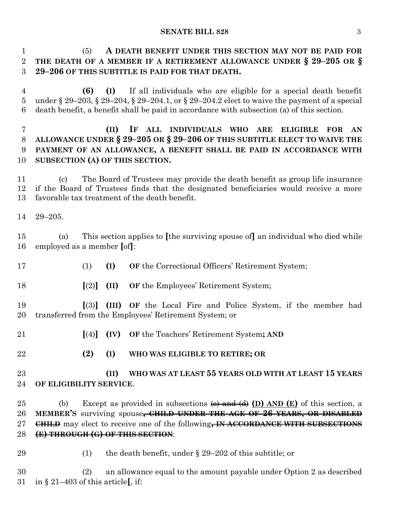(5) **A DEATH BENEFIT UNDER THIS SECTION MAY NOT BE PAID FOR THE DEATH OF A MEMBER IF A RETIREMENT ALLOWANCE UNDER § 29–205 OR § 29–206 OF THIS SUBTITLE IS PAID FOR THAT DEATH.**

 **(6) (I)** If all individuals who are eligible for a special death benefit under § 29–203, § 29–204, § 29–204.1, or § 29–204.2 elect to waive the payment of a special death benefit, a benefit shall be paid in accordance with subsection (a) of this section.

 **(II) IF ALL INDIVIDUALS WHO ARE ELIGIBLE FOR AN ALLOWANCE UNDER § 29–205 OR § 29–206 OF THIS SUBTITLE ELECT TO WAIVE THE PAYMENT OF AN ALLOWANCE, A BENEFIT SHALL BE PAID IN ACCORDANCE WITH SUBSECTION (A) OF THIS SECTION.**

 (c) The Board of Trustees may provide the death benefit as group life insurance if the Board of Trustees finds that the designated beneficiaries would receive a more favorable tax treatment of the death benefit.

29–205.

 (a) This section applies to **[**the surviving spouse of**]** an individual who died while employed as a member **[**of**]**:

- (1) **(I) OF** the Correctional Officers' Retirement System;
- **[**(2)**] (II) OF** the Employees' Retirement System;
- **[**(3)**] (III) OF** the Local Fire and Police System, if the member had transferred from the Employees' Retirement System; or
- **[**(4)**] (IV) OF** the Teachers' Retirement System**; AND**
- **(2) (I) WHO WAS ELIGIBLE TO RETIRE; OR**

# **(II) WHO WAS AT LEAST 55 YEARS OLD WITH AT LEAST 15 YEARS OF ELIGIBILITY SERVICE**.

 (b) Except as provided in subsections (c) and (d) **(D) AND (E)** of this section, a **MEMBER'S** surviving spouse**, CHILD UNDER THE AGE OF 26 YEARS, OR DISABLED CHILD** may elect to receive one of the following**, IN ACCORDANCE WITH SUBSECTIONS (E) THROUGH (G) OF THIS SECTION**:

29 (1) the death benefit, under  $\S 29-202$  of this subtitle; or

 (2) an allowance equal to the amount payable under Option 2 as described in § 21–403 of this article**[**, if: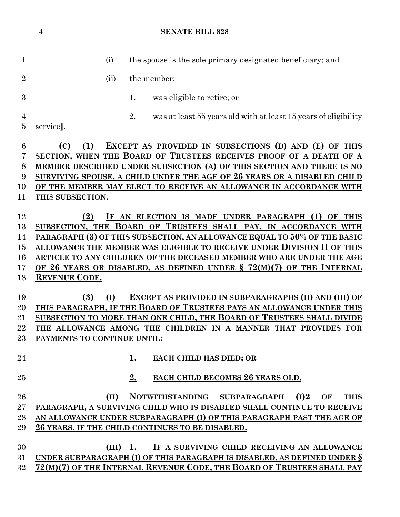**SENATE BILL 828** (i) the spouse is the sole primary designated beneficiary; and 2 (ii) the member: 1. was eligible to retire; or 2. was at least 55 years old with at least 15 years of eligibility service**]**. **(C) (1) EXCEPT AS PROVIDED IN SUBSECTIONS (D) AND (E) OF THIS SECTION, WHEN THE BOARD OF TRUSTEES RECEIVES PROOF OF A DEATH OF A MEMBER DESCRIBED UNDER SUBSECTION (A) OF THIS SECTION AND THERE IS NO SURVIVING SPOUSE, A CHILD UNDER THE AGE OF 26 YEARS OR A DISABLED CHILD OF THE MEMBER MAY ELECT TO RECEIVE AN ALLOWANCE IN ACCORDANCE WITH THIS SUBSECTION. (2) IF AN ELECTION IS MADE UNDER PARAGRAPH (1) OF THIS SUBSECTION, THE BOARD OF TRUSTEES SHALL PAY, IN ACCORDANCE WITH PARAGRAPH (3) OF THIS SUBSECTION, AN ALLOWANCE EQUAL TO 50% OF THE BASIC ALLOWANCE THE MEMBER WAS ELIGIBLE TO RECEIVE UNDER DIVISION II OF THIS ARTICLE TO ANY CHILDREN OF THE DECEASED MEMBER WHO ARE UNDER THE AGE OF 26 YEARS OR DISABLED, AS DEFINED UNDER § 72(M)(7) OF THE INTERNAL REVENUE CODE. (3) (I) EXCEPT AS PROVIDED IN SUBPARAGRAPHS (II) AND (III) OF THIS PARAGRAPH, IF THE BOARD OF TRUSTEES PAYS AN ALLOWANCE UNDER THIS SUBSECTION TO MORE THAN ONE CHILD, THE BOARD OF TRUSTEES SHALL DIVIDE THE ALLOWANCE AMONG THE CHILDREN IN A MANNER THAT PROVIDES FOR PAYMENTS TO CONTINUE UNTIL: 1. EACH CHILD HAS DIED; OR 2. EACH CHILD BECOMES 26 YEARS OLD. (II) NOTWITHSTANDING SUBPARAGRAPH (I)2 OF THIS PARAGRAPH, A SURVIVING CHILD WHO IS DISABLED SHALL CONTINUE TO RECEIVE AN ALLOWANCE UNDER SUBPARAGRAPH (I) OF THIS PARAGRAPH PAST THE AGE OF 26 YEARS, IF THE CHILD CONTINUES TO BE DISABLED. (III) 1. IF A SURVIVING CHILD RECEIVING AN ALLOWANCE UNDER SUBPARAGRAPH (I) OF THIS PARAGRAPH IS DISABLED, AS DEFINED UNDER § 72(M)(7) OF THE INTERNAL REVENUE CODE, THE BOARD OF TRUSTEES SHALL PAY**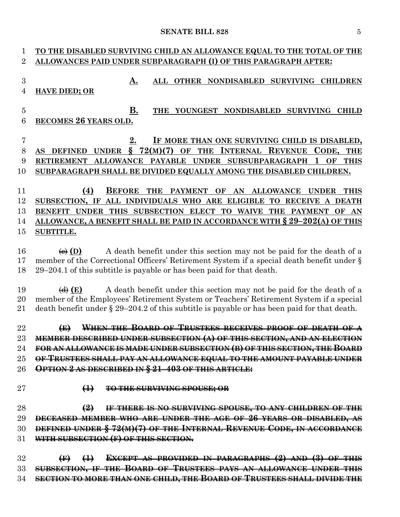# **TO THE DISABLED SURVIVING CHILD AN ALLOWANCE EQUAL TO THE TOTAL OF THE ALLOWANCES PAID UNDER SUBPARAGRAPH (I) OF THIS PARAGRAPH AFTER: A. ALL OTHER NONDISABLED SURVIVING CHILDREN HAVE DIED; OR B. THE YOUNGEST NONDISABLED SURVIVING CHILD BECOMES 26 YEARS OLD. 2. IF MORE THAN ONE SURVIVING CHILD IS DISABLED, AS DEFINED UNDER § 72(M)(7) OF THE INTERNAL REVENUE CODE, THE RETIREMENT ALLOWANCE PAYABLE UNDER SUBSUBPARAGRAPH 1 OF THIS SUBPARAGRAPH SHALL BE DIVIDED EQUALLY AMONG THE DISABLED CHILDREN. (4) BEFORE THE PAYMENT OF AN ALLOWANCE UNDER THIS SUBSECTION, IF ALL INDIVIDUALS WHO ARE ELIGIBLE TO RECEIVE A DEATH BENEFIT UNDER THIS SUBSECTION ELECT TO WAIVE THE PAYMENT OF AN ALLOWANCE, A BENEFIT SHALL BE PAID IN ACCORDANCE WITH § 29–202(A) OF THIS SUBTITLE.** 16  $\leftarrow$  (D) A death benefit under this section may not be paid for the death of a member of the Correctional Officers' Retirement System if a special death benefit under § 29–204.1 of this subtitle is payable or has been paid for that death. (d) **(E)** A death benefit under this section may not be paid for the death of a member of the Employees' Retirement System or Teachers' Retirement System if a special death benefit under § 29–204.2 of this subtitle is payable or has been paid for that death. **(E) WHEN THE BOARD OF TRUSTEES RECEIVES PROOF OF DEATH OF A MEMBER DESCRIBED UNDER SUBSECTION (A) OF THIS SECTION, AND AN ELECTION FOR AN ALLOWANCE IS MADE UNDER SUBSECTION (B) OF THIS SECTION, THE BOARD OF TRUSTEES SHALL PAY AN ALLOWANCE EQUAL TO THE AMOUNT PAYABLE UNDER OPTION 2 AS DESCRIBED IN § 21–403 OF THIS ARTICLE: (1) TO THE SURVIVING SPOUSE; OR (2) IF THERE IS NO SURVIVING SPOUSE, TO ANY CHILDREN OF THE DECEASED MEMBER WHO ARE UNDER THE AGE OF 26 YEARS OR DISABLED, AS DEFINED UNDER § 72(M)(7) OF THE INTERNAL REVENUE CODE, IN ACCORDANCE WITH SUBSECTION (F) OF THIS SECTION. (F) (1) EXCEPT AS PROVIDED IN PARAGRAPHS (2) AND (3) OF THIS SUBSECTION, IF THE BOARD OF TRUSTEES PAYS AN ALLOWANCE UNDER THIS SECTION TO MORE THAN ONE CHILD, THE BOARD OF TRUSTEES SHALL DIVIDE THE**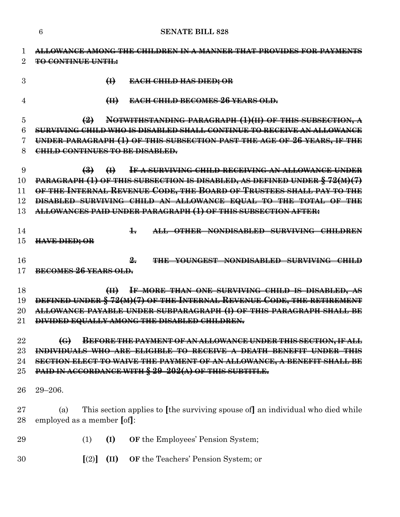| 1              | <u>ALLOWANCE AMONG THE CHILDREN IN A MANNER THAT PROVIDES FOR PAYMENTS</u>                                 |  |  |  |  |  |  |
|----------------|------------------------------------------------------------------------------------------------------------|--|--|--|--|--|--|
| $\overline{2}$ | <b>TO CONTINUE UNTIL:</b>                                                                                  |  |  |  |  |  |  |
| 3              | $\bigoplus$<br><del>EACH CHILD HAS DIED; OR</del>                                                          |  |  |  |  |  |  |
| 4              | <b>EACH CHILD BECOMES 26 YEARS OLD.</b><br>$\left( \frac{1}{2} \right)$                                    |  |  |  |  |  |  |
| 5              | NOTWITHSTANDING PARAGRAPH (1)(II) OF THIS SUBSECTION, A<br>$\left(2\right)$                                |  |  |  |  |  |  |
| 6              | SURVIVING CHILD WHO IS DISABLED SHALL CONTINUE TO RECEIVE AN ALLOWANCE                                     |  |  |  |  |  |  |
| 7              | UNDER PARAGRAPH (1) OF THIS SUBSECTION PAST THE AGE OF 26 YEARS, IF THE                                    |  |  |  |  |  |  |
| 8              | CHILD CONTINUES TO BE DISABLED.                                                                            |  |  |  |  |  |  |
|                |                                                                                                            |  |  |  |  |  |  |
| 9              | IF A SURVIVING CHILD RECEIVING AN ALLOWANCE UNDER<br>$\left(\frac{3}{2}\right)$ $\left(\frac{1}{2}\right)$ |  |  |  |  |  |  |
| 10             | PARAGRAPH (1) OF THIS SUBSECTION IS DISABLED, AS DEFINED UNDER § 72(M)(7)                                  |  |  |  |  |  |  |
| 11             | OF THE INTERNAL REVENUE CODE, THE BOARD OF TRUSTEES SHALL PAY TO THE                                       |  |  |  |  |  |  |
| 12             | DISABLED SURVIVING CHILD AN ALLOWANCE EQUAL TO THE TOTAL OF THE                                            |  |  |  |  |  |  |
| 13             | ALLOWANCES PAID UNDER PARAGRAPH (1) OF THIS SUBSECTION AFTER:                                              |  |  |  |  |  |  |
| 14             | ALL OTHER NONDISABLED SURVIVING CHILDREN<br>┺                                                              |  |  |  |  |  |  |
| 15             | <b>HAVE DIED; OR</b>                                                                                       |  |  |  |  |  |  |
|                |                                                                                                            |  |  |  |  |  |  |
| 16             | $\frac{9}{2}$<br>THE YOUNGEST NONDISABLED SURVIVING CHILD                                                  |  |  |  |  |  |  |
| 17             | BECOMES 26 YEARS OLD.                                                                                      |  |  |  |  |  |  |
| 18             | IF MORE THAN ONE SURVIVING CHILD IS DISABLED, AS<br>H                                                      |  |  |  |  |  |  |
| 19             | DEFINED UNDER § 72(M)(7) OF THE INTERNAL REVENUE CODE, THE RETIREMENT                                      |  |  |  |  |  |  |
| 20             | ALLOWANCE PAYABLE UNDER SUBPARAGRAPH (I) OF THIS PARAGRAPH SHALL BE                                        |  |  |  |  |  |  |
| 21             | DIVIDED EQUALLY AMONG THE DISABLED CHILDREN.                                                               |  |  |  |  |  |  |
|                |                                                                                                            |  |  |  |  |  |  |
| 22             | <b>BEFORE THE PAYMENT OF AN ALLOWANCE UNDER THIS SECTION, IF ALL</b>                                       |  |  |  |  |  |  |
| 23             | ARE ELIGIBLE TO RECEIVE A DEATH BENEFIT UNDER THIS<br><del>INDIVIDUALS WHO</del>                           |  |  |  |  |  |  |
| 24             | SECTION ELECT TO WAIVE THE PAYMENT OF AN ALLOWANCE, A BENEFIT SHALL BE                                     |  |  |  |  |  |  |
| 25             | PAID IN ACCORDANCE WITH § 29-202(A) OF THIS SUBTITLE.                                                      |  |  |  |  |  |  |
| 26             | $29 - 206.$                                                                                                |  |  |  |  |  |  |
|                |                                                                                                            |  |  |  |  |  |  |
| 27             | This section applies to [the surviving spouse of] an individual who died while<br>(a)                      |  |  |  |  |  |  |
| 28             | employed as a member [of]:                                                                                 |  |  |  |  |  |  |
| 29             | (I)<br><b>OF</b> the Employees' Pension System;<br>(1)                                                     |  |  |  |  |  |  |
| 30             | $\lceil (2) \rceil$<br>(II)<br>OF the Teachers' Pension System; or                                         |  |  |  |  |  |  |

**SENATE BILL 828**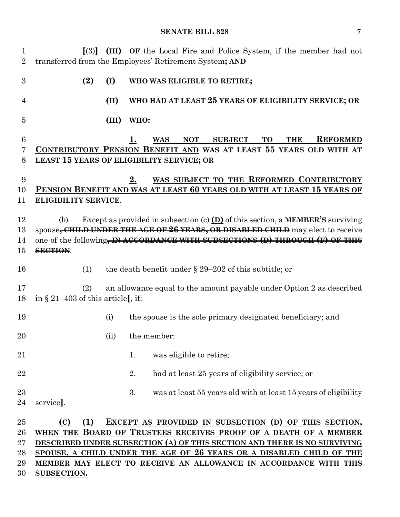| $\mathbf 1$<br>$\overline{2}$    | $\lceil(3)\rceil$                           |       | (III) OF the Local Fire and Police System, if the member had not<br>transferred from the Employees' Retirement System; AND                                                                                                                                                                                                                        |
|----------------------------------|---------------------------------------------|-------|---------------------------------------------------------------------------------------------------------------------------------------------------------------------------------------------------------------------------------------------------------------------------------------------------------------------------------------------------|
| 3                                | (2)                                         | (I)   | WHO WAS ELIGIBLE TO RETIRE;                                                                                                                                                                                                                                                                                                                       |
| 4                                |                                             | (II)  | WHO HAD AT LEAST 25 YEARS OF ELIGIBILITY SERVICE; OR                                                                                                                                                                                                                                                                                              |
| 5                                |                                             | (III) | WHO:                                                                                                                                                                                                                                                                                                                                              |
| $6\phantom{.}6$<br>7<br>8        |                                             |       | <b>REFORMED</b><br><b>NOT</b><br><b>SUBJECT</b><br><b>TO</b><br><b>THE</b><br><b>WAS</b><br>1.<br>CONTRIBUTORY PENSION BENEFIT AND WAS AT LEAST 55 YEARS OLD WITH AT<br><b>LEAST 15 YEARS OF ELIGIBILITY SERVICE; OR</b>                                                                                                                          |
| 9<br>10                          |                                             |       | WAS SUBJECT TO THE REFORMED CONTRIBUTORY<br>2.<br>PENSION BENEFIT AND WAS AT LEAST 60 YEARS OLD WITH AT LEAST 15 YEARS OF                                                                                                                                                                                                                         |
| 11                               | <b>ELIGIBILITY SERVICE.</b>                 |       |                                                                                                                                                                                                                                                                                                                                                   |
| 12<br>13<br>14<br>15             | (b)<br>SECTION:                             |       | Except as provided in subsection $\bigoplus$ $\bigodot$ of this section, a <b>MEMBER'S</b> surviving<br>spouse <del>, CHILD UNDER THE AGE OF 26 YEARS, OR DISABLED CHILD</del> may elect to receive<br>one of the following, IN ACCORDANCE WITH SUBSECTIONS (D) THROUGH (F) OF THIS                                                               |
| 16                               | (1)                                         |       | the death benefit under $\S 29-202$ of this subtitle; or                                                                                                                                                                                                                                                                                          |
| 17<br>18                         | (2)<br>in $\S 21-403$ of this article[, if: |       | an allowance equal to the amount payable under Option 2 as described                                                                                                                                                                                                                                                                              |
| 19                               |                                             | (i)   | the spouse is the sole primary designated beneficiary; and                                                                                                                                                                                                                                                                                        |
| 20                               |                                             | (ii)  | the member:                                                                                                                                                                                                                                                                                                                                       |
| 21                               |                                             |       | was eligible to retire;<br>1.                                                                                                                                                                                                                                                                                                                     |
| 22                               |                                             |       | 2.<br>had at least 25 years of eligibility service; or                                                                                                                                                                                                                                                                                            |
| 23<br>24                         | service.                                    |       | 3.<br>was at least 55 years old with at least 15 years of eligibility                                                                                                                                                                                                                                                                             |
| 25<br>26<br>27<br>28<br>29<br>30 | (1)<br>(C)<br>SUBSECTION.                   |       | EXCEPT AS PROVIDED IN SUBSECTION (D) OF THIS SECTION,<br>WHEN THE BOARD OF TRUSTEES RECEIVES PROOF OF A DEATH OF A MEMBER<br>DESCRIBED UNDER SUBSECTION (A) OF THIS SECTION AND THERE IS NO SURVIVING<br>SPOUSE, A CHILD UNDER THE AGE OF 26 YEARS OR A DISABLED CHILD OF THE<br>MEMBER MAY ELECT TO RECEIVE AN ALLOWANCE IN ACCORDANCE WITH THIS |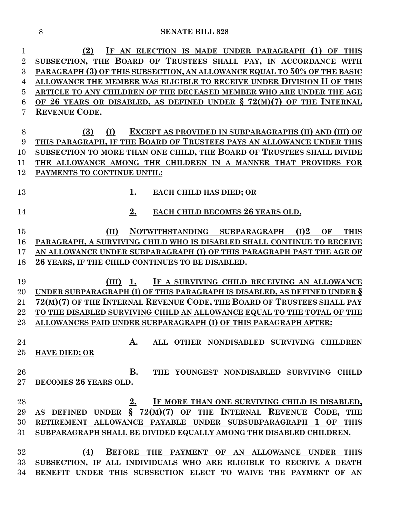| 1              | IF AN ELECTION IS MADE UNDER PARAGRAPH (1) OF THIS<br>(2)                   |
|----------------|-----------------------------------------------------------------------------|
| $\overline{2}$ | SUBSECTION, THE BOARD OF TRUSTEES SHALL PAY, IN ACCORDANCE WITH             |
| 3              | PARAGRAPH (3) OF THIS SUBSECTION, AN ALLOWANCE EQUAL TO 50% OF THE BASIC    |
| $\overline{4}$ | ALLOWANCE THE MEMBER WAS ELIGIBLE TO RECEIVE UNDER DIVISION II OF THIS      |
| 5              | ARTICLE TO ANY CHILDREN OF THE DECEASED MEMBER WHO ARE UNDER THE AGE        |
| 6              | OF 26 YEARS OR DISABLED, AS DEFINED UNDER $\S 72(M)(7)$ OF THE INTERNAL     |
| 7              | <b>REVENUE CODE.</b>                                                        |
|                |                                                                             |
| 8              | EXCEPT AS PROVIDED IN SUBPARAGRAPHS (II) AND (III) OF<br>(3)<br>(I)         |
| 9              | THIS PARAGRAPH, IF THE BOARD OF TRUSTEES PAYS AN ALLOWANCE UNDER THIS       |
| 10             | SUBSECTION TO MORE THAN ONE CHILD, THE BOARD OF TRUSTEES SHALL DIVIDE       |
| 11             | THE ALLOWANCE AMONG THE CHILDREN IN A MANNER THAT PROVIDES FOR              |
| 12             | PAYMENTS TO CONTINUE UNTIL:                                                 |
|                |                                                                             |
| 13             | <u>1.</u><br><b>EACH CHILD HAS DIED; OR</b>                                 |
|                |                                                                             |
| 14             | 2.<br>EACH CHILD BECOMES 26 YEARS OLD.                                      |
|                |                                                                             |
| 15             | NOTWITHSTANDING SUBPARAGRAPH<br>(I)2<br>(II)<br>OF<br><b>THIS</b>           |
| 16             | PARAGRAPH, A SURVIVING CHILD WHO IS DISABLED SHALL CONTINUE TO RECEIVE      |
| 17             | AN ALLOWANCE UNDER SUBPARAGRAPH (I) OF THIS PARAGRAPH PAST THE AGE OF       |
| 18             | 26 YEARS, IF THE CHILD CONTINUES TO BE DISABLED.                            |
| 19             | IF A SURVIVING CHILD RECEIVING AN ALLOWANCE<br>$(III)$ 1.                   |
| 20             | UNDER SUBPARAGRAPH (I) OF THIS PARAGRAPH IS DISABLED, AS DEFINED UNDER $\S$ |
| 21             | 72(M)(7) OF THE INTERNAL REVENUE CODE, THE BOARD OF TRUSTEES SHALL PAY      |
| 22             | TO THE DISABLED SURVIVING CHILD AN ALLOWANCE EQUAL TO THE TOTAL OF THE      |
| $23\,$         | ALLOWANCES PAID UNDER SUBPARAGRAPH (I) OF THIS PARAGRAPH AFTER:             |
|                |                                                                             |
| 24             | ALL OTHER NONDISABLED SURVIVING CHILDREN<br>Α.                              |
| $25\,$         | <b>HAVE DIED; OR</b>                                                        |
|                |                                                                             |
| 26             | <b>B.</b><br>THE YOUNGEST NONDISABLED SURVIVING CHILD                       |
| $27\,$         | BECOMES 26 YEARS OLD.                                                       |
|                |                                                                             |
| 28             | IF MORE THAN ONE SURVIVING CHILD IS DISABLED,<br>2.                         |
| 29             | AS DEFINED UNDER $\S$ 72(M)(7) OF THE INTERNAL REVENUE CODE, THE            |
| 30             | RETIREMENT ALLOWANCE PAYABLE UNDER SUBSUBPARAGRAPH 1 OF THIS                |
| 31             | SUBPARAGRAPH SHALL BE DIVIDED EQUALLY AMONG THE DISABLED CHILDREN.          |
|                |                                                                             |
| 32             | (4)<br>BEFORE THE PAYMENT OF AN ALLOWANCE UNDER THIS                        |
| $33\,$         | SUBSECTION, IF ALL INDIVIDUALS WHO ARE ELIGIBLE TO RECEIVE A DEATH          |
| 34             | BENEFIT UNDER THIS SUBSECTION ELECT TO WAIVE THE PAYMENT OF AN              |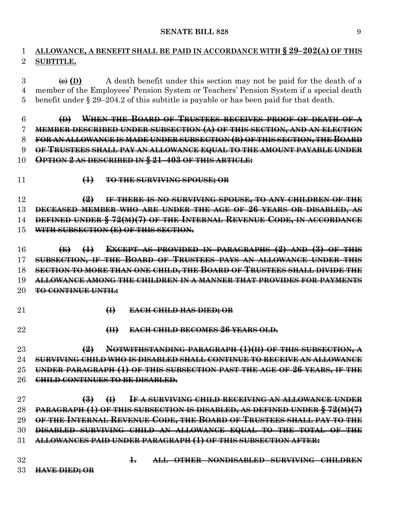# **ALLOWANCE, A BENEFIT SHALL BE PAID IN ACCORDANCE WITH § 29–202(A) OF THIS SUBTITLE.**

 $\overline{\Theta}$  (D) A death benefit under this section may not be paid for the death of a member of the Employees' Pension System or Teachers' Pension System if a special death benefit under § 29–204.2 of this subtitle is payable or has been paid for that death.

 **(D) WHEN THE BOARD OF TRUSTEES RECEIVES PROOF OF DEATH OF A MEMBER DESCRIBED UNDER SUBSECTION (A) OF THIS SECTION, AND AN ELECTION FOR AN ALLOWANCE IS MADE UNDER SUBSECTION (B) OF THIS SECTION, THE BOARD OF TRUSTEES SHALL PAY AN ALLOWANCE EQUAL TO THE AMOUNT PAYABLE UNDER**

- **OPTION 2 AS DESCRIBED IN § 21–403 OF THIS ARTICLE:**
- 
- **(1) TO THE SURVIVING SPOUSE; OR**

 **(2) IF THERE IS NO SURVIVING SPOUSE, TO ANY CHILDREN OF THE DECEASED MEMBER WHO ARE UNDER THE AGE OF 26 YEARS OR DISABLED, AS DEFINED UNDER § 72(M)(7) OF THE INTERNAL REVENUE CODE, IN ACCORDANCE WITH SUBSECTION (E) OF THIS SECTION.**

 **(E) (1) EXCEPT AS PROVIDED IN PARAGRAPHS (2) AND (3) OF THIS SUBSECTION, IF THE BOARD OF TRUSTEES PAYS AN ALLOWANCE UNDER THIS SECTION TO MORE THAN ONE CHILD, THE BOARD OF TRUSTEES SHALL DIVIDE THE ALLOWANCE AMONG THE CHILDREN IN A MANNER THAT PROVIDES FOR PAYMENTS TO CONTINUE UNTIL:**

- 
- **(I) EACH CHILD HAS DIED; OR**
- 
- **(II) EACH CHILD BECOMES 26 YEARS OLD.**

 **(2) NOTWITHSTANDING PARAGRAPH (1)(II) OF THIS SUBSECTION, A SURVIVING CHILD WHO IS DISABLED SHALL CONTINUE TO RECEIVE AN ALLOWANCE UNDER PARAGRAPH (1) OF THIS SUBSECTION PAST THE AGE OF 26 YEARS, IF THE CHILD CONTINUES TO BE DISABLED.**

 **(3) (I) IF A SURVIVING CHILD RECEIVING AN ALLOWANCE UNDER PARAGRAPH (1) OF THIS SUBSECTION IS DISABLED, AS DEFINED UNDER § 72(M)(7) OF THE INTERNAL REVENUE CODE, THE BOARD OF TRUSTEES SHALL PAY TO THE DISABLED SURVIVING CHILD AN ALLOWANCE EQUAL TO THE TOTAL OF THE ALLOWANCES PAID UNDER PARAGRAPH (1) OF THIS SUBSECTION AFTER:**

 **1. ALL OTHER NONDISABLED SURVIVING CHILDREN HAVE DIED; OR**